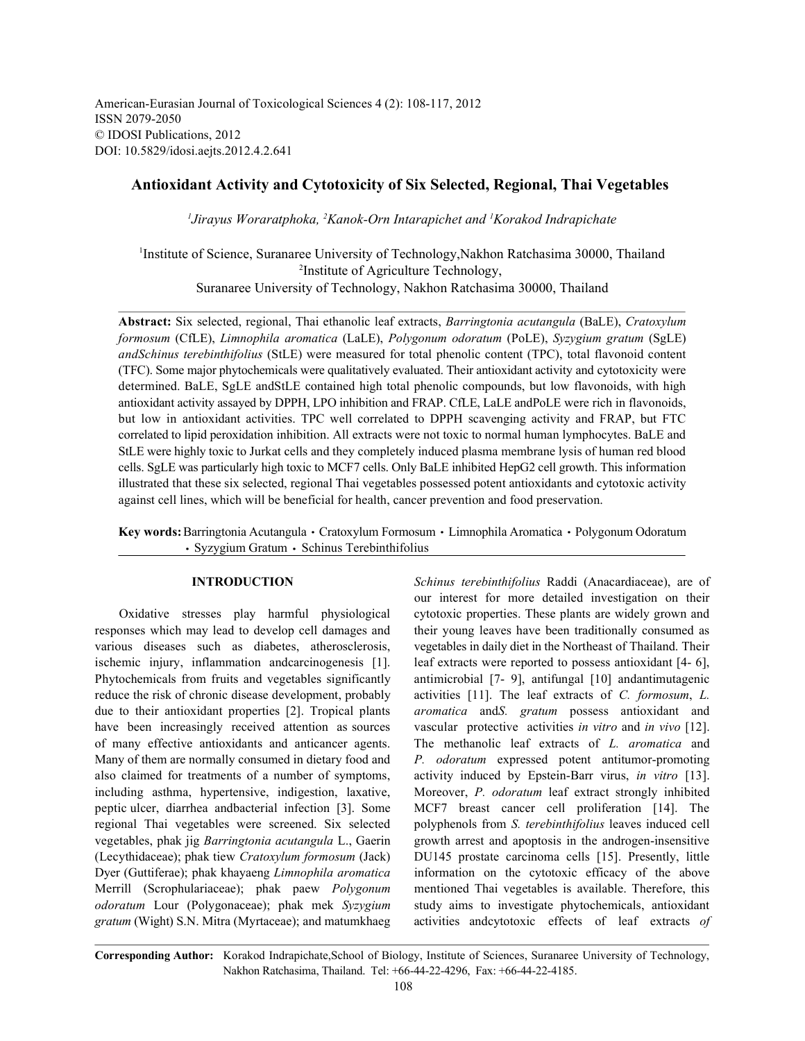American-Eurasian Journal of Toxicological Sciences 4 (2): 108-117, 2012 ISSN 2079-2050 © IDOSI Publications, 2012 DOI: 10.5829/idosi.aejts.2012.4.2.641

# **Antioxidant Activity and Cytotoxicity of Six Selected, Regional, Thai Vegetables**

<sup>1</sup> Jirayus Woraratphoka, <sup>2</sup> Kanok-Orn Intarapichet and <sup>1</sup> Korakod Indrapichate

<sup>1</sup>Institute of Science, Suranaree University of Technology, Nakhon Ratchasima 30000, Thailand <sup>2</sup>Institute of Agriculture Technology, Suranaree University of Technology, Nakhon Ratchasima 30000, Thailand

**Abstract:** Six selected, regional, Thai ethanolic leaf extracts, *Barringtonia acutangula* (BaLE), *Cratoxylum formosum* (CfLE), *Limnophila aromatica* (LaLE), *Polygonum odoratum* (PoLE), *Syzygium gratum* (SgLE) *andSchinus terebinthifolius* (StLE) were measured for total phenolic content (TPC), total flavonoid content (TFC). Some major phytochemicals were qualitatively evaluated. Their antioxidant activity and cytotoxicity were determined. BaLE, SgLE andStLE contained high total phenolic compounds, but low flavonoids, with high antioxidant activity assayed by DPPH, LPO inhibition and FRAP. CfLE, LaLE andPoLE were rich in flavonoids, but low in antioxidant activities. TPC well correlated to DPPH scavenging activity and FRAP, but FTC correlated to lipid peroxidation inhibition. All extracts were not toxic to normal human lymphocytes. BaLE and StLE were highly toxic to Jurkat cells and they completely induced plasma membrane lysis of human red blood cells. SgLE was particularly high toxic to MCF7 cells. Only BaLE inhibited HepG2 cell growth. This information illustrated that these six selected, regional Thai vegetables possessed potent antioxidants and cytotoxic activity against cell lines, which will be beneficial for health, cancer prevention and food preservation.

Key words: Barringtonia Acutangula · Cratoxylum Formosum · Limnophila Aromatica · Polygonum Odoratum · Syzygium Gratum · Schinus Terebinthifolius

responses which may lead to develop cell damages and their young leaves have been traditionally consumed as various diseases such as diabetes, atherosclerosis, vegetables in daily diet in the Northeast of Thailand. Their ischemic injury, inflammation andcarcinogenesis [1]. leaf extracts were reported to possess antioxidant [4- 6], Phytochemicals from fruits and vegetables significantly antimicrobial [7- 9], antifungal [10] andantimutagenic reduce the risk of chronic disease development, probably activities [11]. The leaf extracts of *C. formosum*, *L.* due to their antioxidant properties [2]. Tropical plants *aromatica* and*S. gratum* possess antioxidant and have been increasingly received attention as sources vascular protective activities *in vitro* and *in vivo* [12]. of many effective antioxidants and anticancer agents. The methanolic leaf extracts of *L. aromatica* and Many of them are normally consumed in dietary food and *P. odoratum* expressed potent antitumor-promoting also claimed for treatments of a number of symptoms, activity induced by Epstein-Barr virus, *in vitro* [13]. including asthma, hypertensive, indigestion, laxative, Moreover, *P. odoratum* leaf extract strongly inhibited peptic ulcer, diarrhea andbacterial infection [3]. Some MCF7 breast cancer cell proliferation [14]. The regional Thai vegetables were screened. Six selected polyphenols from *S. terebinthifolius* leaves induced cell vegetables, phak jig *Barringtonia acutangula* L., Gaerin growth arrest and apoptosis in the androgen-insensitive (Lecythidaceae); phak tiew *Cratoxylum formosum* (Jack) DU145 prostate carcinoma cells [15]. Presently, little Dyer (Guttiferae); phak khayaeng *Limnophila aromatica* information on the cytotoxic efficacy of the above Merrill (Scrophulariaceae); phak paew *Polygonum* mentioned Thai vegetables is available. Therefore, this *odoratum* Lour (Polygonaceae); phak mek *Syzygium* study aims to investigate phytochemicals, antioxidant *gratum* (Wight) S.N. Mitra (Myrtaceae); and matumkhaeg activities andcytotoxic effects of leaf extracts *of*

**INTRODUCTION** *Schinus terebinthifolius* Raddi (Anacardiaceae), are of Oxidative stresses play harmful physiological cytotoxic properties. These plants are widely grown and our interest for more detailed investigation on their

**Corresponding Author:** Korakod Indrapichate,School of Biology, Institute of Sciences, Suranaree University of Technology, Nakhon Ratchasima, Thailand. Tel: +66-44-22-4296, Fax: +66-44-22-4185.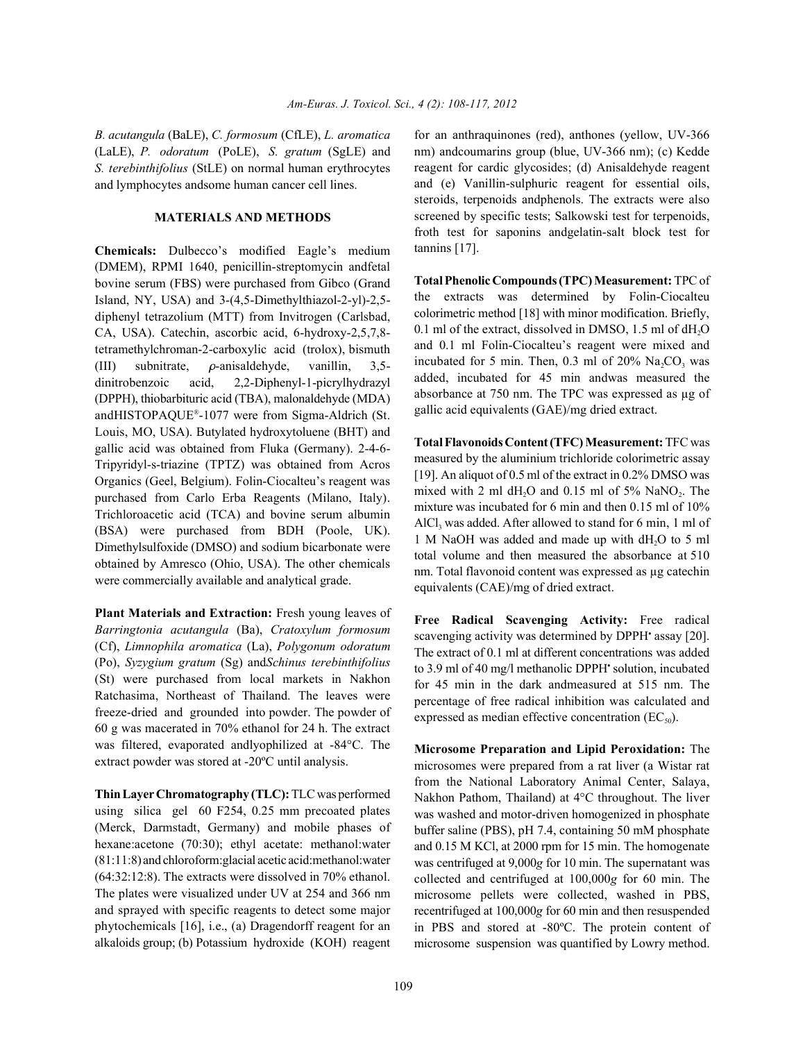(LaLE), *P. odoratum* (PoLE), *S. gratum* (SgLE) and *S. terebinthifolius* (StLE) on normal human erythrocytes and lymphocytes andsome human cancer cell lines.

## **MATERIALS AND METHODS**

**Chemicals:** Dulbecco's modified Eagle's medium (DMEM), RPMI 1640, penicillin-streptomycin andfetal bovine serum (FBS) were purchased from Gibco (Grand Island, NY, USA) and 3-(4,5-Dimethylthiazol-2-yl)-2,5 diphenyl tetrazolium (MTT) from Invitrogen (Carlsbad, CA, USA). Catechin, ascorbic acid, 6-hydroxy-2,5,7,8 tetramethylchroman-2-carboxylic acid (trolox), bismuth (III) subnitrate,  $\rho$ -anisaldehyde, vanillin, 3,5dinitrobenzoic acid, 2,2-Diphenyl-1-picrylhydrazyl (DPPH), thiobarbituric acid (TBA), malonaldehyde (MDA) andHISTOPAQUE®-1077 were from Sigma-Aldrich (St. Louis, MO, USA). Butylated hydroxytoluene (BHT) and gallic acid was obtained from Fluka (Germany). 2-4-6- Tripyridyl-s-triazine (TPTZ) was obtained from Acros Organics (Geel, Belgium). Folin-Ciocalteu's reagent was purchased from Carlo Erba Reagents (Milano, Italy). Trichloroacetic acid (TCA) and bovine serum albumin (BSA) were purchased from BDH (Poole, UK). Dimethylsulfoxide (DMSO) and sodium bicarbonate were obtained by Amresco (Ohio, USA). The other chemicals were commercially available and analytical grade.

**Plant Materials and Extraction:** Fresh young leaves of *Barringtonia acutangula* (Ba), *Cratoxylum formosum* (Cf), *Limnophila aromatica* (La), *Polygonum odoratum* (Po), *Syzygium gratum* (Sg) and*Schinus terebinthifolius* (St) were purchased from local markets in Nakhon Ratchasima, Northeast of Thailand. The leaves were freeze-dried and grounded into powder. The powder of 60 g was macerated in 70% ethanol for 24 h. The extract was filtered, evaporated andlyophilized at -84°C. The extract powder was stored at -20ºC until analysis.

**Thin Layer Chromatography (TLC):** TLC was performed using silica gel 60 F254, 0.25 mm precoated plates (Merck, Darmstadt, Germany) and mobile phases of hexane:acetone (70:30); ethyl acetate: methanol:water (81:11:8)and chloroform:glacial acetic acid:methanol:water (64:32:12:8). The extracts were dissolved in 70% ethanol. The plates were visualized under UV at 254 and 366 nm and sprayed with specific reagents to detect some major phytochemicals [16], i.e., (a) Dragendorff reagent for an alkaloids group; (b) Potassium hydroxide (KOH) reagent

*B. acutangula* (BaLE), *C. formosum* (CfLE), *L. aromatica* for an anthraquinones (red), anthones (yellow, UV-366 nm) andcoumarins group (blue, UV-366 nm); (c) Kedde reagent for cardic glycosides; (d) Anisaldehyde reagent and (e) Vanillin-sulphuric reagent for essential oils, steroids, terpenoids andphenols. The extracts were also screened by specific tests; Salkowski test for terpenoids, froth test for saponins andgelatin-salt block test for tannins [17].

> **Total Phenolic Compounds (TPC) Measurement:** TPC of the extracts was determined by Folin-Ciocalteu colorimetric method [18] with minor modification. Briefly, 0.1 ml of the extract, dissolved in DMSO,  $1.5$  ml of  $dH<sub>2</sub>O$ and 0.1 ml Folin-Ciocalteu's reagent were mixed and incubated for 5 min. Then,  $0.3$  ml of  $20\%$  Na<sub>2</sub>CO<sub>3</sub> was added, incubated for 45 min andwas measured the absorbance at 750 nm. The TPC was expressed as µg of gallic acid equivalents (GAE)/mg dried extract.

> **Total Flavonoids Content (TFC) Measurement:** TFC was measured by the aluminium trichloride colorimetric assay [19]. An aliquot of 0.5 ml of the extract in 0.2% DMSO was mixed with 2 ml dH<sub>2</sub>O and 0.15 ml of 5% NaNO<sub>2</sub>. The mixture was incubated for 6 min and then 0.15 ml of 10% AlCl<sub>3</sub> was added. After allowed to stand for 6 min, 1 ml of 1 M NaOH was added and made up with  $dH_2O$  to 5 ml total volume and then measured the absorbance at 510 nm. Total flavonoid content was expressed as µg catechin equivalents (CAE)/mg of dried extract.

> **Free Radical Scavenging Activity:** Free radical scavenging activity was determined by DPPH<sup>\*</sup> assay [20]. The extract of 0.1 ml at different concentrations was added to 3.9 ml of 40 mg/l methanolic DPPH' solution, incubated for 45 min in the dark andmeasured at 515 nm. The percentage of free radical inhibition was calculated and expressed as median effective concentration  $(EC_{50})$ .

> **Microsome Preparation and Lipid Peroxidation:** The microsomes were prepared from a rat liver (a Wistar rat from the National Laboratory Animal Center, Salaya, Nakhon Pathom, Thailand) at 4°C throughout. The liver was washed and motor-driven homogenized in phosphate buffer saline (PBS), pH 7.4, containing 50 mM phosphate and 0.15 M KCl, at 2000 rpm for 15 min. The homogenate was centrifuged at 9,000*g* for 10 min. The supernatant was collected and centrifuged at 100,000*g* for 60 min. The microsome pellets were collected, washed in PBS, recentrifuged at 100,000*g* for 60 min and then resuspended in PBS and stored at -80ºC. The protein content of microsome suspension was quantified by Lowry method.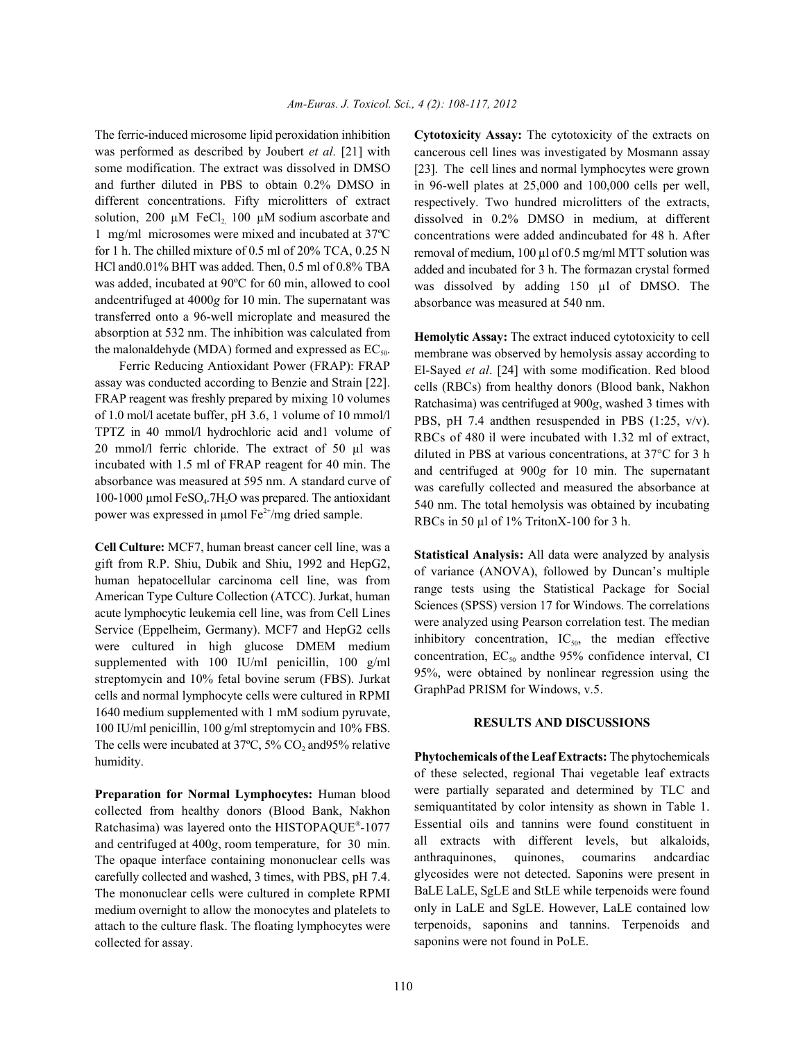was performed as described by Joubert *et al.* [21] with some modification. The extract was dissolved in DMSO and further diluted in PBS to obtain 0.2% DMSO in different concentrations. Fifty microlitters of extract solution, 200  $\mu$ M FeCl<sub>2</sub> 100  $\mu$ M sodium ascorbate and 1 mg/ml microsomes were mixed and incubated at 37ºC for 1 h. The chilled mixture of 0.5 ml of 20% TCA, 0.25 N HCl and0.01% BHT was added. Then, 0.5 ml of 0.8% TBA was added, incubated at 90ºC for 60 min, allowed to cool andcentrifuged at 4000*g* for 10 min. The supernatant was transferred onto a 96-well microplate and measured the absorption at 532 nm. The inhibition was calculated from the malonaldehyde (MDA) formed and expressed as  $EC_{\text{so}}$ .

Ferric Reducing Antioxidant Power (FRAP): FRAP assay was conducted according to Benzie and Strain [22]. FRAP reagent was freshly prepared by mixing 10 volumes of 1.0 mol/l acetate buffer, pH 3.6, 1 volume of 10 mmol/l TPTZ in 40 mmol/l hydrochloric acid and1 volume of 20 mmol/l ferric chloride. The extract of 50 µl was incubated with 1.5 ml of FRAP reagent for 40 min. The absorbance was measured at 595 nm. A standard curve of 100-1000 µmol  $FeSO<sub>4</sub>$ .7H<sub>2</sub>O was prepared. The antioxidant power was expressed in  $\mu$ mol Fe<sup>2+</sup>/mg dried sample.

**Cell Culture:** MCF7, human breast cancer cell line, was a gift from R.P. Shiu, Dubik and Shiu, 1992 and HepG2, human hepatocellular carcinoma cell line, was from American Type Culture Collection (ATCC). Jurkat, human acute lymphocytic leukemia cell line, was from Cell Lines Service (Eppelheim, Germany). MCF7 and HepG2 cells were cultured in high glucose DMEM medium supplemented with 100 IU/ml penicillin, 100 g/ml streptomycin and 10% fetal bovine serum (FBS). Jurkat cells and normal lymphocyte cells were cultured in RPMI 1640 medium supplemented with 1 mM sodium pyruvate, 100 IU/ml penicillin, 100 g/ml streptomycin and 10% FBS. The cells were incubated at  $37^{\circ}$ C,  $5\%$  CO<sub>2</sub> and 95% relative humidity.

**Preparation for Normal Lymphocytes:** Human blood collected from healthy donors (Blood Bank, Nakhon Ratchasima) was layered onto the HISTOPAQUE<sup>®</sup>-1077 and centrifuged at 400*g*, room temperature, for 30 min. The opaque interface containing mononuclear cells was carefully collected and washed, 3 times, with PBS, pH 7.4. The mononuclear cells were cultured in complete RPMI medium overnight to allow the monocytes and platelets to attach to the culture flask. The floating lymphocytes were collected for assay.

The ferric-induced microsome lipid peroxidation inhibition **Cytotoxicity Assay:** The cytotoxicity of the extracts on cancerous cell lines was investigated by Mosmann assay [23]. The cell lines and normal lymphocytes were grown in 96-well plates at 25,000 and 100,000 cells per well, respectively. Two hundred microlitters of the extracts, dissolved in 0.2% DMSO in medium, at different concentrations were added andincubated for 48 h. After removal of medium, 100 µl of 0.5 mg/ml MTT solution was added and incubated for 3 h. The formazan crystal formed was dissolved by adding 150 µl of DMSO. The absorbance was measured at 540 nm.

> **Hemolytic Assay:** The extract induced cytotoxicity to cell membrane was observed by hemolysis assay according to El-Sayed *et al*. [24] with some modification. Red blood cells (RBCs) from healthy donors (Blood bank, Nakhon Ratchasima) was centrifuged at 900*g*, washed 3 times with PBS, pH 7.4 andthen resuspended in PBS (1:25, v/v). RBCs of 480 ìl were incubated with 1.32 ml of extract, diluted in PBS at various concentrations, at 37°C for 3 h and centrifuged at 900*g* for 10 min. The supernatant was carefully collected and measured the absorbance at 540 nm. The total hemolysis was obtained by incubating RBCs in 50 µl of 1% TritonX-100 for 3 h.

> **Statistical Analysis:** All data were analyzed by analysis of variance (ANOVA), followed by Duncan's multiple range tests using the Statistical Package for Social Sciences (SPSS) version 17 for Windows. The correlations were analyzed using Pearson correlation test. The median inhibitory concentration,  $IC_{50}$ , the median effective concentration,  $EC<sub>50</sub>$  andthe 95% confidence interval, CI 95%, were obtained by nonlinear regression using the GraphPad PRISM for Windows, v.5.

## **RESULTS AND DISCUSSIONS**

**Phytochemicals of the Leaf Extracts:** The phytochemicals of these selected, regional Thai vegetable leaf extracts were partially separated and determined by TLC and semiquantitated by color intensity as shown in Table 1. Essential oils and tannins were found constituent in all extracts with different levels, but alkaloids, anthraquinones, quinones, coumarins andcardiac glycosides were not detected. Saponins were present in BaLE LaLE, SgLE and StLE while terpenoids were found only in LaLE and SgLE. However, LaLE contained low terpenoids, saponins and tannins. Terpenoids and saponins were not found in PoLE.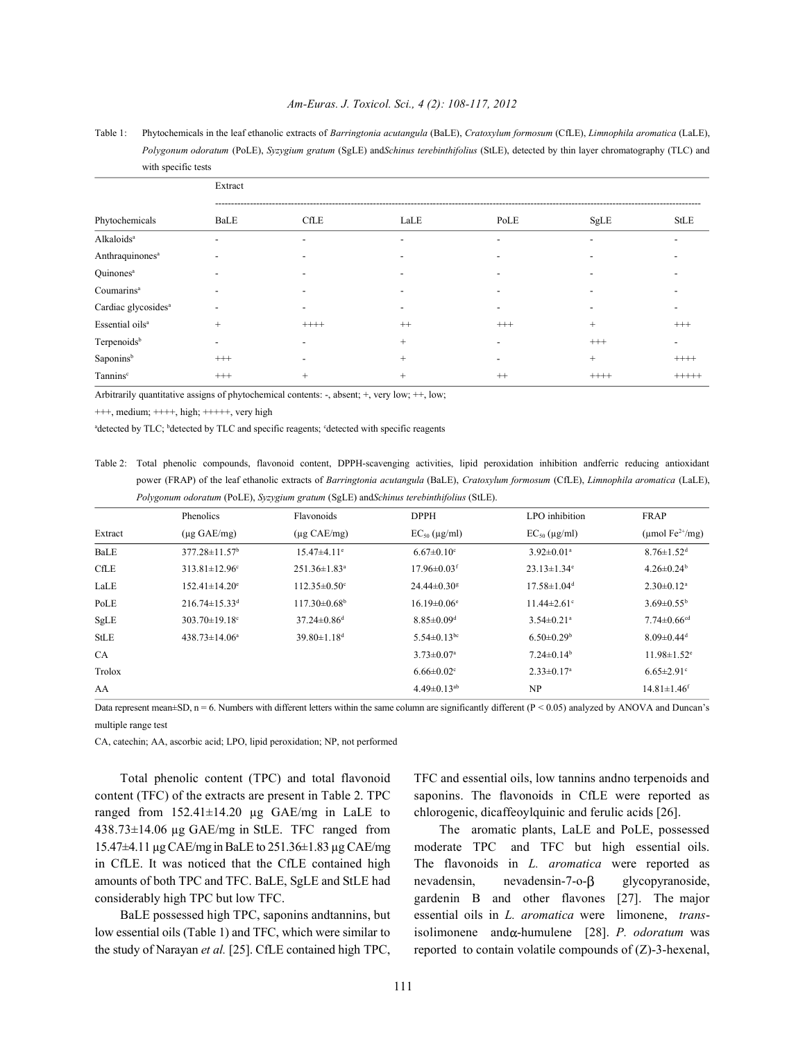#### *Am-Euras. J. Toxicol. Sci., 4 (2): 108-117, 2012*

Table 1: Phytochemicals in the leaf ethanolic extracts of *Barringtonia acutangula* (BaLE), *Cratoxylum formosum* (CfLE), *Limnophila aromatica* (LaLE), *Polygonum odoratum* (PoLE), *Syzygium gratum* (SgLE) and*Schinus terebinthifolius* (StLE), detected by thin layer chromatography (TLC) and with specific tests

|                                 | Extract                  |                |                          |          |                          |          |  |
|---------------------------------|--------------------------|----------------|--------------------------|----------|--------------------------|----------|--|
| Phytochemicals                  | BaLE                     | <b>CfLE</b>    | LaLE                     | PoLE     | SgLE                     | StLE     |  |
| Alkaloids <sup>a</sup>          | $\overline{\phantom{0}}$ | $\overline{a}$ | $\overline{\phantom{0}}$ |          | -                        |          |  |
| Anthraquinones <sup>a</sup>     |                          |                |                          |          | $\overline{\phantom{0}}$ |          |  |
| Quinones <sup>a</sup>           |                          |                |                          |          |                          |          |  |
| Coumarins <sup>a</sup>          |                          |                |                          |          |                          |          |  |
| Cardiac glycosides <sup>a</sup> |                          |                |                          |          |                          |          |  |
| Essential oils <sup>a</sup>     | $^{+}$                   | $++++$         | $^{++}$                  | $^{+++}$ | $^{+}$                   | $^{+++}$ |  |
| Terpenoids <sup>b</sup>         | $\overline{\phantom{0}}$ |                | $+$                      |          | $^{+++}$                 |          |  |
| Saponinsb                       | $^{+++}$                 |                | $+$                      |          | $^{+}$                   | $++++$   |  |
| Tannins <sup>c</sup>            | $^{+++}$                 | $^{+}$         | $^{+}$                   | $^{++}$  | $++++$                   | $+++++$  |  |

Arbitrarily quantitative assigns of phytochemical contents: -, absent; +, very low; ++, low;

+++, medium; ++++, high; +++++, very high

<sup>a</sup>detected by TLC; <sup>b</sup>detected by TLC and specific reagents; <sup>c</sup>detected with specific reagents

Table 2: Total phenolic compounds, flavonoid content, DPPH-scavenging activities, lipid peroxidation inhibition andferric reducing antioxidant power (FRAP) of the leaf ethanolic extracts of *Barringtonia acutangula* (BaLE), *Cratoxylum formosum* (CfLE), *Limnophila aromatica* (LaLE), *Polygonum odoratum* (PoLE), *Syzygium gratum* (SgLE) and*Schinus terebinthifolius* (StLE).

|             | . .<br>Phenolics                | Flavonoids                     | <b>DPPH</b>                   | LPO inhibition                | <b>FRAP</b>                        |
|-------------|---------------------------------|--------------------------------|-------------------------------|-------------------------------|------------------------------------|
| Extract     | $(\mu g \text{ GAE/mg})$        | $(\mu g \text{ CAE/mg})$       | $EC_{50}$ (µg/ml)             | $EC_{50}$ (µg/ml)             | (µmol $\text{Fe}^{2+}/\text{mg}$ ) |
| BaLE        | $377.28 \pm 11.57$ <sup>b</sup> | $15.47 \pm 4.11$ <sup>e</sup>  | $6.67 \pm 0.10$ <sup>c</sup>  | $3.92 \pm 0.01$ <sup>a</sup>  | $8.76 \pm 1.52$ <sup>d</sup>       |
| <b>CfLE</b> | $313.81 \pm 12.96$ <sup>c</sup> | $251.36 \pm 1.83$ <sup>a</sup> | $17.96 \pm 0.03$ <sup>f</sup> | $23.13 \pm 1.34$ <sup>e</sup> | $4.26 \pm 0.24$ <sup>b</sup>       |
| LaLE        | $152.41 \pm 14.20^{\circ}$      | $112.35 \pm 0.50$ <sup>c</sup> | $24.44 \pm 0.30$ <sup>g</sup> | $17.58 \pm 1.04$ <sup>d</sup> | $2.30 \pm 0.12$ <sup>a</sup>       |
| PoLE        | $216.74 \pm 15.33$ <sup>d</sup> | $117.30\pm0.68^{\rm b}$        | $16.19 \pm 0.06$ <sup>e</sup> | $11.44 \pm 2.61$ <sup>c</sup> | $3.69 \pm 0.55^{\mathrm{b}}$       |
| SgLE        | $303.70 \pm 19.18$ °            | $37.24 \pm 0.86$ <sup>d</sup>  | $8.85 \pm 0.09$ <sup>d</sup>  | $3.54 \pm 0.21$ <sup>a</sup>  | $7.74 \pm 0.66$ <sup>cd</sup>      |
| <b>StLE</b> | $438.73 \pm 14.06^a$            | $39.80 \pm 1.18$ <sup>d</sup>  | $5.54 \pm 0.13$ <sup>bc</sup> | $6.50 \pm 0.29$ <sup>b</sup>  | $8.09 \pm 0.44$ <sup>d</sup>       |
| CA          |                                 |                                | $3.73 \pm 0.07$ <sup>a</sup>  | $7.24\pm0.14b$                | $11.98 \pm 1.52$ <sup>e</sup>      |
| Trolox      |                                 |                                | $6.66 \pm 0.02$ <sup>c</sup>  | $2.33 \pm 0.17$ <sup>a</sup>  | $6.65 \pm 2.91$ °                  |
| AA          |                                 |                                | $4.49\pm0.13^{ab}$            | NP                            | $14.81 \pm 1.46$ <sup>f</sup>      |

Data represent mean±SD,  $n = 6$ . Numbers with different letters within the same column are significantly different ( $P < 0.05$ ) analyzed by ANOVA and Duncan's multiple range test

CA, catechin; AA, ascorbic acid; LPO, lipid peroxidation; NP, not performed

content (TFC) of the extracts are present in Table 2. TPC saponins. The flavonoids in CfLE were reported as ranged from 152.41±14.20 µg GAE/mg in LaLE to chlorogenic, dicaffeoylquinic and ferulic acids [26]. 438.73±14.06 µg GAE/mg in StLE. TFC ranged from The aromatic plants, LaLE and PoLE, possessed 15.47±4.11 µg CAE/mg in BaLE to 251.36±1.83 µg CAE/mg moderate TPC and TFC but high essential oils. amounts of both TPC and TFC. BaLE, SgLE and StLE had nevadensin, nevadensin-7-o- $\beta$  glycopyranoside, considerably high TPC but low TFC. gardenin B and other flavones [27]. The major

Total phenolic content (TPC) and total flavonoid TFC and essential oils, low tannins andno terpenoids and

in CfLE. It was noticed that the CfLE contained high The flavonoids in *L. aromatica* were reported as BaLE possessed high TPC, saponins andtannins, but essential oils in *L. aromatica* were limonene, *trans*low essential oils (Table 1) and TFC, which were similar to isolimonene andα-humulene [28]. *P. odoratum* was the study of Narayan *et al.* [25]. CfLE contained high TPC, reported to contain volatile compounds of (Z)-3-hexenal,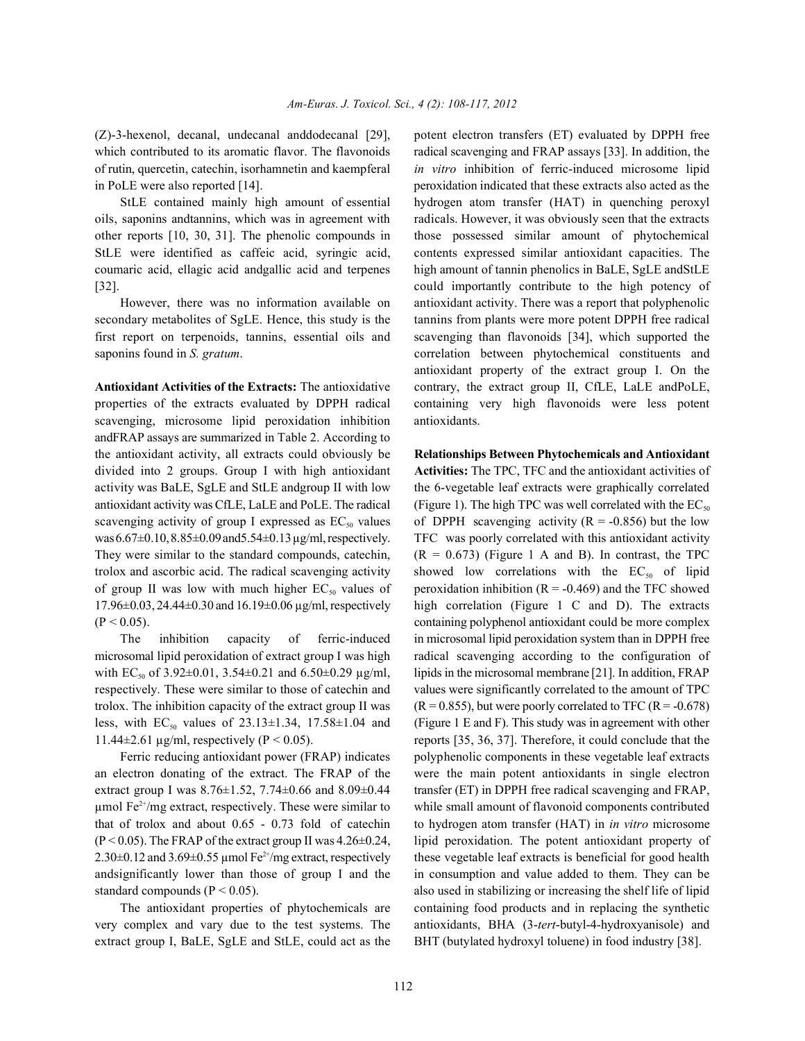which contributed to its aromatic flavor. The flavonoids radical scavenging and FRAP assays [33]. In addition, the of rutin, quercetin, catechin, isorhamnetin and kaempferal *in vitro* inhibition of ferric-induced microsome lipid in PoLE were also reported [14]. peroxidation indicated that these extracts also acted as the

oils, saponins andtannins, which was in agreement with radicals. However, it was obviously seen that the extracts other reports [10, 30, 31]. The phenolic compounds in those possessed similar amount of phytochemical StLE were identified as caffeic acid, syringic acid, contents expressed similar antioxidant capacities. The coumaric acid, ellagic acid andgallic acid and terpenes high amount of tannin phenolics in BaLE, SgLE andStLE [32]. could importantly contribute to the high potency of

secondary metabolites of SgLE. Hence, this study is the tannins from plants were more potent DPPH free radical first report on terpenoids, tannins, essential oils and scavenging than flavonoids [34], which supported the saponins found in *S. gratum*. correlation between phytochemical constituents and

properties of the extracts evaluated by DPPH radical containing very high flavonoids were less potent scavenging, microsome lipid peroxidation inhibition antioxidants. andFRAP assays are summarized in Table 2. According to the antioxidant activity, all extracts could obviously be **Relationships Between Phytochemicals and Antioxidant** divided into 2 groups. Group I with high antioxidant **Activities:** The TPC, TFC and the antioxidant activities of activity was BaLE, SgLE and StLE andgroup II with low the 6-vegetable leaf extracts were graphically correlated antioxidant activity was CfLE, LaLE and PoLE. The radical (Figure 1). The high TPC was well correlated with the  $EC_{so}$ scavenging activity of group I expressed as  $EC_{50}$  values of DPPH scavenging activity (R = -0.856) but the low was 6.67 $\pm$ 0.10, 8.85 $\pm$ 0.09 and 5.54 $\pm$ 0.13 µg/ml, respectively. TFC was poorly correlated with this antioxidant activity They were similar to the standard compounds, catechin,  $(R = 0.673)$  (Figure 1 A and B). In contrast, the TPC trolox and ascorbic acid. The radical scavenging activity showed low correlations with the  $EC_{50}$  of lipid of group II was low with much higher  $EC_{50}$  values of peroxidation inhibition ( $R = -0.469$ ) and the TFC showed 17.96±0.03, 24.44±0.30 and 16.19±0.06 µg/ml, respectively high correlation (Figure 1 C and D). The extracts

microsomal lipid peroxidation of extract group I was high radical scavenging according to the configuration of with  $EC_{50}$  of 3.92±0.01, 3.54±0.21 and 6.50±0.29  $\mu$ g/ml, lipids in the microsomal membrane [21]. In addition, FRAP respectively. These were similar to those of catechin and values were significantly correlated to the amount of TPC trolox. The inhibition capacity of the extract group II was  $(R = 0.855)$ , but were poorly correlated to TFC  $(R = -0.678)$ less, with EC<sub>50</sub> values of 23.13±1.34, 17.58±1.04 and (Figure 1 E and F). This study was in agreement with other 11.44±2.61 µg/ml, respectively (P < 0.05). reports [35, 36, 37]. Therefore, it could conclude that the

an electron donating of the extract. The FRAP of the were the main potent antioxidants in single electron extract group I was  $8.76\pm1.52$ ,  $7.74\pm0.66$  and  $8.09\pm0.44$  transfer (ET) in DPPH free radical scavenging and FRAP,  $\mu$ mol Fe<sup>2+</sup>/mg extract, respectively. These were similar to while small amount of flavonoid components contributed that of trolox and about 0.65 - 0.73 fold of catechin to hydrogen atom transfer (HAT) in *in vitro* microsome (P < 0.05). The FRAP of the extract group II was 4.26±0.24, lipid peroxidation. The potent antioxidant property of 2.30 $\pm$ 0.12 and 3.69 $\pm$ 0.55 µmol Fe<sup>2+</sup>/mg extract, respectively these vegetable leaf extracts is beneficial for good health andsignificantly lower than those of group I and the in consumption and value added to them. They can be standard compounds  $(P < 0.05)$ . also used in stabilizing or increasing the shelf life of lipid

very complex and vary due to the test systems. The antioxidants, BHA (3-*tert*-butyl-4-hydroxyanisole) and extract group I, BaLE, SgLE and StLE, could act as the BHT (butylated hydroxyl toluene) in food industry [38].

(Z)-3-hexenol, decanal, undecanal anddodecanal [29], potent electron transfers (ET) evaluated by DPPH free StLE contained mainly high amount of essential hydrogen atom transfer (HAT) in quenching peroxyl However, there was no information available on antioxidant activity. There was a report that polyphenolic **Antioxidant Activities of the Extracts:** The antioxidative contrary, the extract group II, CfLE, LaLE andPoLE, antioxidant property of the extract group I. On the

(P < 0.05). containing polyphenol antioxidant could be more complex The inhibition capacity of ferric-induced in microsomal lipid peroxidation system than in DPPH free Ferric reducing antioxidant power (FRAP) indicates polyphenolic components in these vegetable leaf extracts The antioxidant properties of phytochemicals are containing food products and in replacing the synthetic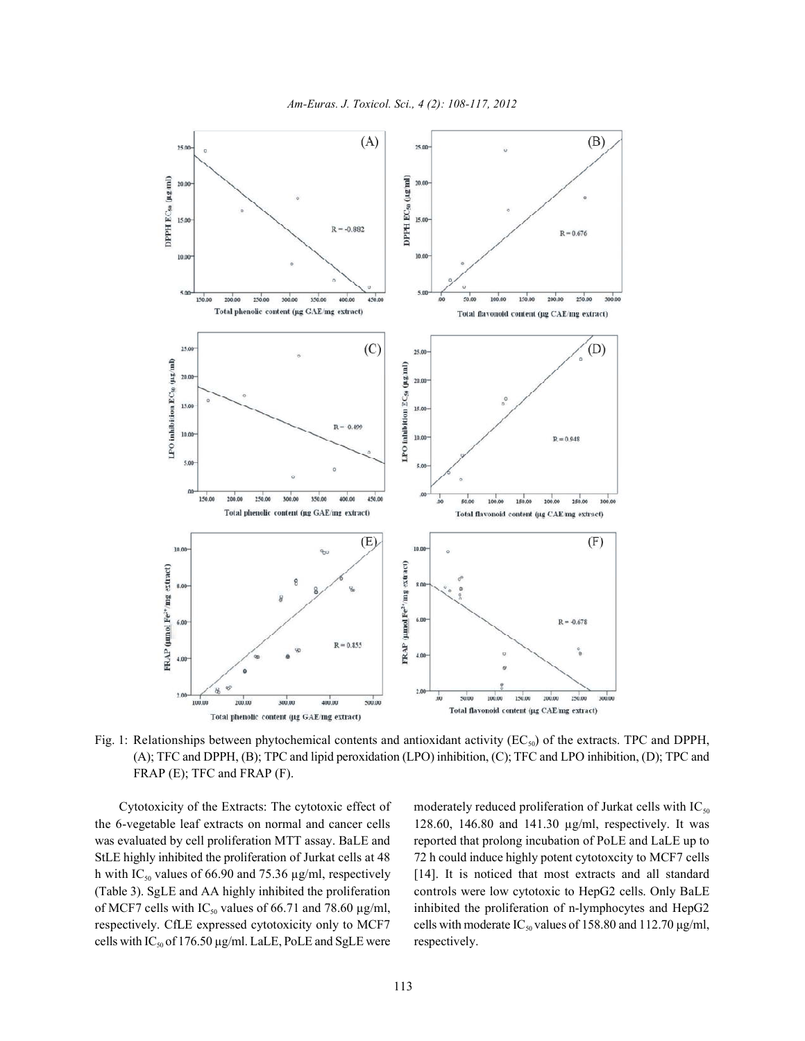



Fig. 1: Relationships between phytochemical contents and antioxidant activity ( $EC_{50}$ ) of the extracts. TPC and DPPH, (A); TFC and DPPH, (B); TPC and lipid peroxidation (LPO) inhibition, (C); TFC and LPO inhibition, (D); TPC and FRAP (E); TFC and FRAP (F).

the 6-vegetable leaf extracts on normal and cancer cells 128.60, 146.80 and 141.30 µg/ml, respectively. It was was evaluated by cell proliferation MTT assay. BaLE and reported that prolong incubation of PoLE and LaLE up to StLE highly inhibited the proliferation of Jurkat cells at 48 72 h could induce highly potent cytotoxcity to MCF7 cells h with IC<sub>50</sub> values of 66.90 and 75.36  $\mu$ g/ml, respectively [14]. It is noticed that most extracts and all standard (Table 3). SgLE and AA highly inhibited the proliferation controls were low cytotoxic to HepG2 cells. Only BaLE of MCF7 cells with  $IC_{50}$  values of 66.71 and 78.60  $\mu$ g/ml, inhibited the proliferation of n-lymphocytes and HepG2 cells with  $IC_{50}$  of 176.50 µg/ml. LaLE, PoLE and SgLE were respectively.

Cytotoxicity of the Extracts: The cytotoxic effect of moderately reduced proliferation of Jurkat cells with  $IC_{\text{so}}$ respectively. CfLE expressed cytotoxicity only to MCF7 cells with moderate  $IC_{50}$  values of 158.80 and 112.70  $\mu$ g/ml,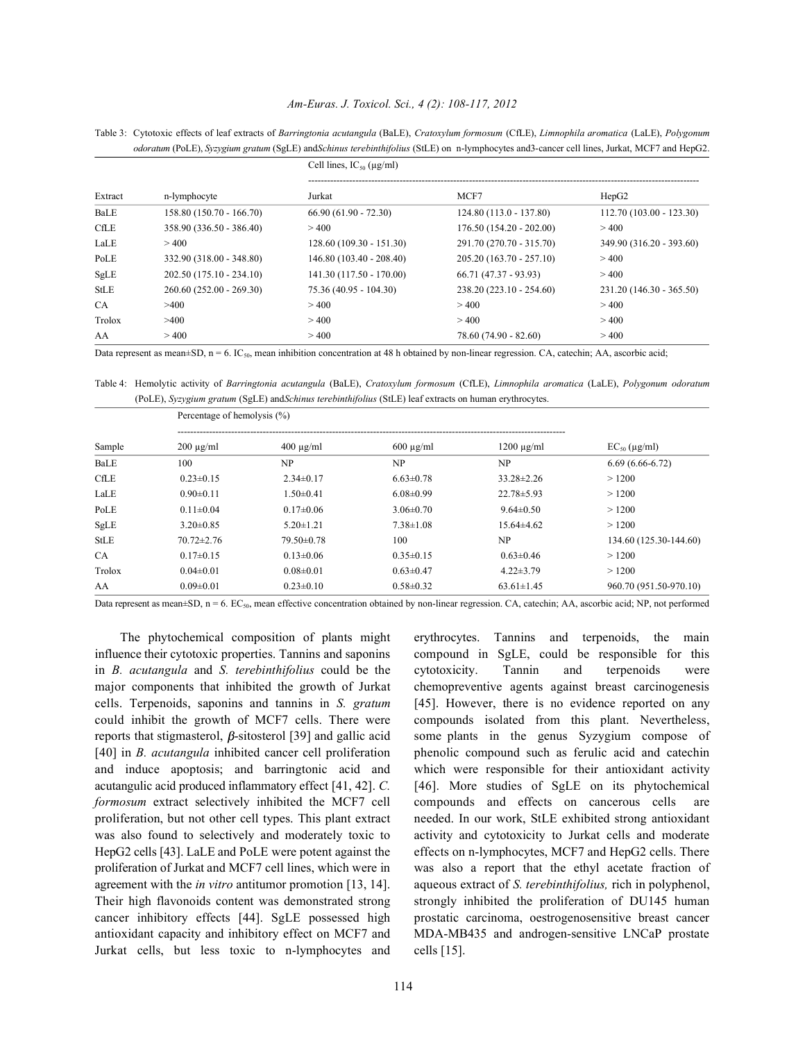#### *Am-Euras. J. Toxicol. Sci., 4 (2): 108-117, 2012*

|             |                          | Cell lines, $IC_{50}$ ( $\mu$ g/ml) |                           |                           |  |  |
|-------------|--------------------------|-------------------------------------|---------------------------|---------------------------|--|--|
| Extract     | n-lymphocyte             | Jurkat                              | MCF7                      | HepG <sub>2</sub>         |  |  |
| BaLE        | 158.80 (150.70 - 166.70) | $66.90(61.90 - 72.30)$              | 124.80 (113.0 - 137.80)   | $112.70(103.00 - 123.30)$ |  |  |
| CfLE        | 358.90 (336.50 - 386.40) | >400                                | $176.50(154.20 - 202.00)$ | >400                      |  |  |
| LaLE        | >400                     | $128.60(109.30 - 151.30)$           | 291.70 (270.70 - 315.70)  | 349.90 (316.20 - 393.60)  |  |  |
| PoLE        | 332.90 (318.00 - 348.80) | $146.80(103.40 - 208.40)$           | 205.20 (163.70 - 257.10)  | >400                      |  |  |
| SgLE        | 202.50 (175.10 - 234.10) | 141.30 (117.50 - 170.00)            | $66.71(47.37 - 93.93)$    | >400                      |  |  |
| <b>StLE</b> | 260.60 (252.00 - 269.30) | $75.36(40.95 - 104.30)$             | 238.20 (223.10 - 254.60)  | 231.20 (146.30 - 365.50)  |  |  |
| <b>CA</b>   | >400                     | >400                                | >400                      | > 400                     |  |  |
| Trolox      | >400                     | >400                                | > 400                     | >400                      |  |  |
| AA          | >400                     | >400                                | 78.60 (74.90 - 82.60)     | >400                      |  |  |

Table 3: Cytotoxic effects of leaf extracts of *Barringtonia acutangula* (BaLE), *Cratoxylum formosum* (CfLE), *Limnophila aromatica* (LaLE), *Polygonum odoratum* (PoLE), *Syzygium gratum* (SgLE) and*Schinus terebinthifolius* (StLE) on n-lymphocytes and3-cancer cell lines, Jurkat, MCF7 and HepG2.

Data represent as mean±SD,  $n = 6$ . IC<sub>50</sub>, mean inhibition concentration at 48 h obtained by non-linear regression. CA, catechin; AA, ascorbic acid;

Table 4: Hemolytic activity of *Barringtonia acutangula* (BaLE), *Cratoxylum formosum* (CfLE), *Limnophila aromatica* (LaLE), *Polygonum odoratum* (PoLE), *Syzygium gratum* (SgLE) and*Schinus terebinthifolius* (StLE) leaf extracts on human erythrocytes.

| Sample      | Percentage of hemolysis (%) |                  |                 |                  |                        |  |
|-------------|-----------------------------|------------------|-----------------|------------------|------------------------|--|
|             | $200 \mu g/ml$              | $400 \mu g/ml$   | $600 \mu g/ml$  | $1200 \mu g/ml$  | $EC_{50}$ (µg/ml)      |  |
| BaLE        | 100                         | <b>NP</b>        | NP              | NP               | $6.69(6.66-6.72)$      |  |
| <b>CfLE</b> | $0.23 \pm 0.15$             | $2.34\pm0.17$    | $6.63 \pm 0.78$ | $33.28 \pm 2.26$ | >1200                  |  |
| LaLE        | $0.90 \pm 0.11$             | $1.50 \pm 0.41$  | $6.08 \pm 0.99$ | $22.78 \pm 5.93$ | >1200                  |  |
| PoLE        | $0.11 \pm 0.04$             | $0.17 \pm 0.06$  | $3.06 \pm 0.70$ | $9.64 \pm 0.50$  | >1200                  |  |
| SgLE        | $3.20 \pm 0.85$             | $5.20 \pm 1.21$  | $7.38 \pm 1.08$ | $15.64\pm4.62$   | >1200                  |  |
| <b>StLE</b> | $70.72 \pm 2.76$            | $79.50 \pm 0.78$ | 100             | <b>NP</b>        | 134.60 (125.30-144.60) |  |
| <b>CA</b>   | $0.17\pm0.15$               | $0.13 \pm 0.06$  | $0.35 \pm 0.15$ | $0.63 \pm 0.46$  | >1200                  |  |
| Trolox      | $0.04 \pm 0.01$             | $0.08 \pm 0.01$  | $0.63 \pm 0.47$ | $4.22 \pm 3.79$  | >1200                  |  |
| AA          | $0.09 \pm 0.01$             | $0.23 \pm 0.10$  | $0.58 \pm 0.32$ | $63.61 \pm 1.45$ | 960.70 (951.50-970.10) |  |

Data represent as mean±SD,  $n = 6$ . EC<sub>50</sub>, mean effective concentration obtained by non-linear regression. CA, catechin; AA, ascorbic acid; NP, not performed

influence their cytotoxic properties. Tannins and saponins compound in SgLE, could be responsible for this in *B. acutangula* and *S. terebinthifolius* could be the cytotoxicity. Tannin and terpenoids were major components that inhibited the growth of Jurkat chemopreventive agents against breast carcinogenesis cells. Terpenoids, saponins and tannins in *S. gratum* [45]. However, there is no evidence reported on any could inhibit the growth of MCF7 cells. There were compounds isolated from this plant. Nevertheless, reports that stigmasterol,  $\beta$ -sitosterol [39] and gallic acid some plants in the genus Syzygium compose of [40] in *B. acutangula* inhibited cancer cell proliferation phenolic compound such as ferulic acid and catechin and induce apoptosis; and barringtonic acid and which were responsible for their antioxidant activity acutangulic acid produced inflammatory effect [41, 42]. *C.* [46]. More studies of SgLE on its phytochemical *formosum* extract selectively inhibited the MCF7 cell compounds and effects on cancerous cells are proliferation, but not other cell types. This plant extract needed. In our work, StLE exhibited strong antioxidant was also found to selectively and moderately toxic to activity and cytotoxicity to Jurkat cells and moderate HepG2 cells [43]. LaLE and PoLE were potent against the effects on n-lymphocytes, MCF7 and HepG2 cells. There proliferation of Jurkat and MCF7 cell lines, which were in was also a report that the ethyl acetate fraction of agreement with the *in vitro* antitumor promotion [13, 14]. aqueous extract of *S. terebinthifolius,* rich in polyphenol, Their high flavonoids content was demonstrated strong strongly inhibited the proliferation of DU145 human cancer inhibitory effects [44]. SgLE possessed high prostatic carcinoma, oestrogenosensitive breast cancer antioxidant capacity and inhibitory effect on MCF7 and MDA-MB435 and androgen-sensitive LNCaP prostate Jurkat cells, but less toxic to n-lymphocytes and cells [15].

The phytochemical composition of plants might erythrocytes. Tannins and terpenoids, the main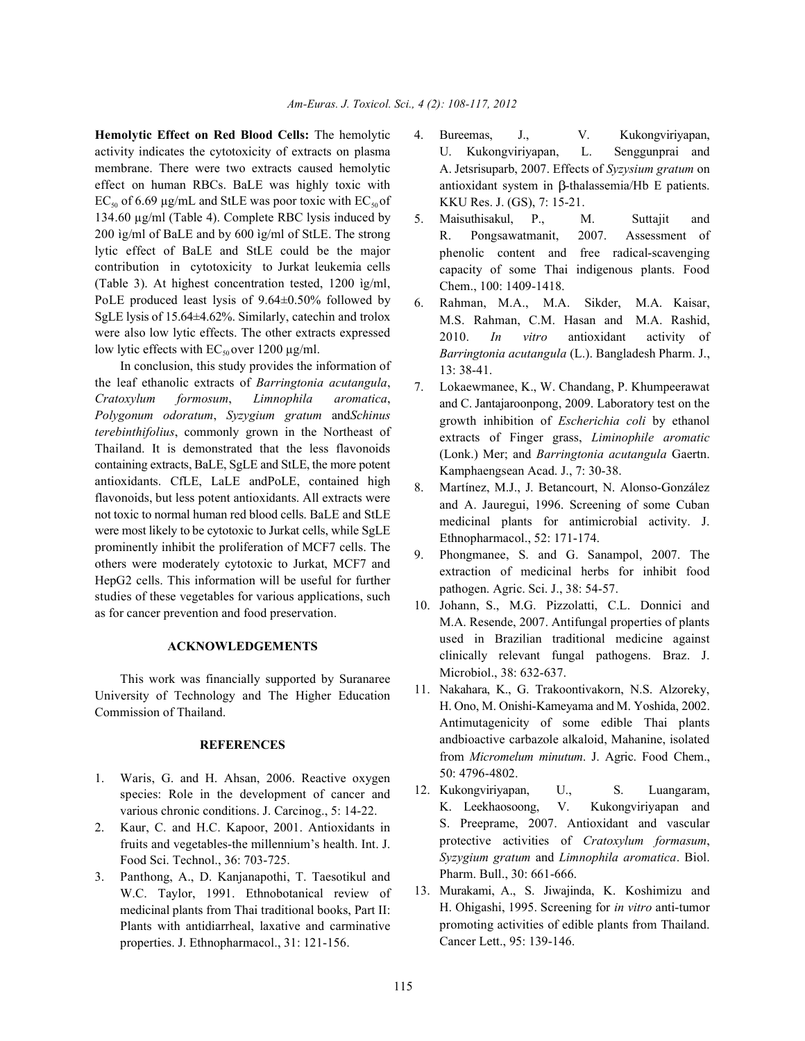activity indicates the cytotoxicity of extracts on plasma membrane. There were two extracts caused hemolytic effect on human RBCs. BaLE was highly toxic with  $EC_{50}$  of 6.69 µg/mL and StLE was poor toxic with  $EC_{50}$  of 134.60 µg/ml (Table 4). Complete RBC lysis induced by 200 ìg/ml of BaLE and by 600 ìg/ml of StLE. The strong lytic effect of BaLE and StLE could be the major contribution in cytotoxicity to Jurkat leukemia cells (Table 3). At highest concentration tested, 1200 ìg/ml, PoLE produced least lysis of 9.64±0.50% followed by SgLE lysis of 15.64±4.62%. Similarly, catechin and trolox were also low lytic effects. The other extracts expressed low lytic effects with  $EC_{50}$  over 1200  $\mu$ g/ml.

In conclusion, this study provides the information of the leaf ethanolic extracts of *Barringtonia acutangula*, *Cratoxylum formosum*, *Limnophila aromatica*, *Polygonum odoratum*, *Syzygium gratum* and*Schinus terebinthifolius*, commonly grown in the Northeast of Thailand. It is demonstrated that the less flavonoids containing extracts, BaLE, SgLE and StLE, the more potent antioxidants. CfLE, LaLE andPoLE, contained high flavonoids, but less potent antioxidants. All extracts were not toxic to normal human red blood cells. BaLE and StLE were most likely to be cytotoxic to Jurkat cells, while SgLE prominently inhibit the proliferation of MCF7 cells. The others were moderately cytotoxic to Jurkat, MCF7 and HepG2 cells. This information will be useful for further studies of these vegetables for various applications, such as for cancer prevention and food preservation.

### **ACKNOWLEDGEMENTS**

This work was financially supported by Suranaree University of Technology and The Higher Education Commission of Thailand.

## **REFERENCES**

- 1. Waris, G. and H. Ahsan, 2006. Reactive oxygen species: Role in the development of cancer and various chronic conditions. J. Carcinog., 5: 14-22.
- 2. Kaur, C. and H.C. Kapoor, 2001. Antioxidants in fruits and vegetables-the millennium's health. Int. J. Food Sci. Technol., 36: 703-725.
- 3. Panthong, A., D. Kanjanapothi, T. Taesotikul and W.C. Taylor, 1991. Ethnobotanical review of medicinal plants from Thai traditional books, Part II: Plants with antidiarrheal, laxative and carminative properties. J. Ethnopharmacol., 31: 121-156.
- **Hemolytic Effect on Red Blood Cells:** The hemolytic 4. Bureemas, J., V. Kukongviriyapan, U. Kukongviriyapan, L. Senggunprai and A. Jetsrisuparb, 2007. Effects of *Syzysium gratum* on antioxidant system in  $\beta$ -thalassemia/Hb E patients. KKU Res. J. (GS), 7: 15-21.
	- 5. Maisuthisakul, P., M. Suttajit and R. Pongsawatmanit, 2007. Assessment of phenolic content and free radical-scavenging capacity of some Thai indigenous plants. Food Chem., 100: 1409-1418.
	- 6. Rahman, M.A., M.A. Sikder, M.A. Kaisar, M.S. Rahman, C.M. Hasan and M.A. Rashid, 2010. *In vitro* antioxidant activity of *Barringtonia acutangula* (L.). Bangladesh Pharm. J., 13: 38-41.
	- 7. Lokaewmanee, K., W. Chandang, P. Khumpeerawat and C. Jantajaroonpong, 2009. Laboratory test on the growth inhibition of *Escherichia coli* by ethanol extracts of Finger grass, *Liminophile aromatic* (Lonk.) Mer; and *Barringtonia acutangula* Gaertn. Kamphaengsean Acad. J., 7: 30-38.
	- 8. Martínez, M.J., J. Betancourt, N. Alonso-González and A. Jauregui, 1996. Screening of some Cuban medicinal plants for antimicrobial activity. J. Ethnopharmacol., 52: 171-174.
	- 9. Phongmanee, S. and G. Sanampol, 2007. The extraction of medicinal herbs for inhibit food pathogen. Agric. Sci. J., 38: 54-57.
	- 10. Johann, S., M.G. Pizzolatti, C.L. Donnici and M.A. Resende, 2007. Antifungal properties of plants used in Brazilian traditional medicine against clinically relevant fungal pathogens. Braz. J. Microbiol., 38: 632-637.
	- 11. Nakahara, K., G. Trakoontivakorn, N.S. Alzoreky, H. Ono, M. Onishi-Kameyama and M. Yoshida, 2002. Antimutagenicity of some edible Thai plants andbioactive carbazole alkaloid, Mahanine, isolated from *Micromelum minutum*. J. Agric. Food Chem., 50: 4796-4802.
	- 12. Kukongviriyapan, U., S. Luangaram, K. Leekhaosoong, V. Kukongviriyapan and S. Preeprame, 2007. Antioxidant and vascular protective activities of *Cratoxylum formasum*, *Syzygium gratum* and *Limnophila aromatica*. Biol. Pharm. Bull., 30: 661-666.
	- 13. Murakami, A., S. Jiwajinda, K. Koshimizu and H. Ohigashi, 1995. Screening for *in vitro* anti-tumor promoting activities of edible plants from Thailand. Cancer Lett., 95: 139-146.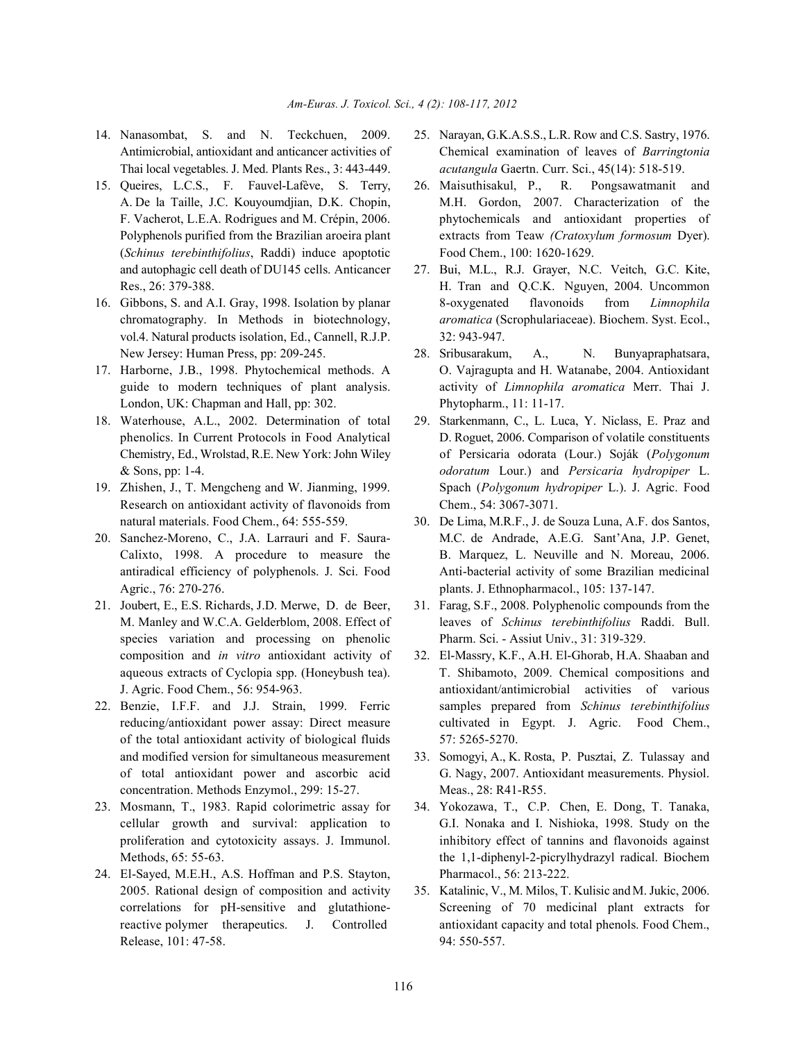- 
- 15. Queires, L.C.S., F. Fauvel-Lafève, S. Terry, 26. Maisuthisakul, P., R. Pongsawatmanit and (*Schinus terebinthifolius*, Raddi) induce apoptotic Food Chem., 100: 1620-1629. and autophagic cell death of DU145 cells. Anticancer 27. Bui, M.L., R.J. Grayer, N.C. Veitch, G.C. Kite,
- vol.4. Natural products isolation, Ed., Cannell, R.J.P. 32: 943-947. New Jersey: Human Press, pp: 209-245. 28. Sribusarakum, A., N. Bunyapraphatsara,
- London, UK: Chapman and Hall, pp: 302. Phytopharm., 11: 11-17.
- 18. Waterhouse, A.L., 2002. Determination of total 29. Starkenmann, C., L. Luca, Y. Niclass, E. Praz and
- Research on antioxidant activity of flavonoids from Chem., 54: 3067-3071.
- Agric., 76: 270-276. plants. J. Ethnopharmacol., 105: 137-147.
- 21. Joubert, E., E.S. Richards, J.D. Merwe, D. de Beer, 31. Farag, S.F., 2008. Polyphenolic compounds from the species variation and processing on phenolic Pharm. Sci. - Assiut Univ., 31: 319-329. composition and *in vitro* antioxidant activity of 32. El-Massry, K.F., A.H. El-Ghorab, H.A. Shaaban and
- of the total antioxidant activity of biological fluids 57: 5265-5270. and modified version for simultaneous measurement 33. Somogyi, A., K. Rosta, P. Pusztai, Z. Tulassay and concentration. Methods Enzymol., 299: 15-27. Meas., 28: R41-R55.
- 23. Mosmann, T., 1983. Rapid colorimetric assay for 34. Yokozawa, T., C.P. Chen, E. Dong, T. Tanaka,
- 24. El-Sayed, M.E.H., A.S. Hoffman and P.S. Stayton, Pharmacol., 56: 213-222. 2005. Rational design of composition and activity 35. Katalinic, V., M. Milos, T. Kulisic and M. Jukic, 2006. Release, 101: 47-58. 94: 550-557.
- 14. Nanasombat, S. and N. Teckchuen, 2009. 25. Narayan, G.K.A.S.S., L.R. Row and C.S. Sastry, 1976. Antimicrobial, antioxidant and anticancer activities of Chemical examination of leaves of *Barringtonia* Thai local vegetables. J. Med. Plants Res., 3: 443-449. *acutangula* Gaertn. Curr. Sci., 45(14): 518-519.
	- A. De la Taille, J.C. Kouyoumdjian, D.K. Chopin, M.H. Gordon, 2007. Characterization of the F. Vacherot, L.E.A. Rodrigues and M. Crépin, 2006. phytochemicals and antioxidant properties of Polyphenols purified from the Brazilian aroeira plant extracts from Teaw *(Cratoxylum formosum* Dyer).
- Res., 26: 379-388. H. Tran and Q.C.K. Nguyen, 2004. Uncommon 16. Gibbons, S. and A.I. Gray, 1998. Isolation by planar 8-oxygenated flavonoids from *Limnophila* chromatography. In Methods in biotechnology, *aromatica* (Scrophulariaceae). Biochem. Syst. Ecol.,
- 17. Harborne, J.B., 1998. Phytochemical methods. A O. Vajragupta and H. Watanabe, 2004. Antioxidant guide to modern techniques of plant analysis. activity of *Limnophila aromatica* Merr. Thai J.
- phenolics. In Current Protocols in Food Analytical D. Roguet, 2006. Comparison of volatile constituents Chemistry, Ed., Wrolstad, R.E. New York: John Wiley of Persicaria odorata (Lour.) Soják (*Polygonum* & Sons, pp: 1-4. *odoratum* Lour.) and *Persicaria hydropiper* L. 19. Zhishen, J., T. Mengcheng and W. Jianming, 1999. Spach (*Polygonum hydropiper* L.). J. Agric. Food
- natural materials. Food Chem., 64: 555-559. 30. De Lima, M.R.F., J. de Souza Luna, A.F. dos Santos, 20. Sanchez-Moreno, C., J.A. Larrauri and F. Saura- M.C. de Andrade, A.E.G. Sant'Ana, J.P. Genet, Calixto, 1998. A procedure to measure the B. Marquez, L. Neuville and N. Moreau, 2006. antiradical efficiency of polyphenols. J. Sci. Food Anti-bacterial activity of some Brazilian medicinal
	- M. Manley and W.C.A. Gelderblom, 2008. Effect of leaves of *Schinus terebinthifolius* Raddi. Bull.
- aqueous extracts of Cyclopia spp. (Honeybush tea). T. Shibamoto, 2009. Chemical compositions and J. Agric. Food Chem., 56: 954-963. antioxidant/antimicrobial activities of various 22. Benzie, I.F.F. and J.J. Strain, 1999. Ferric samples prepared from *Schinus terebinthifolius* reducing/antioxidant power assay: Direct measure cultivated in Egypt. J. Agric. Food Chem.,
	- of total antioxidant power and ascorbic acid G. Nagy, 2007. Antioxidant measurements. Physiol.
	- cellular growth and survival: application to G.I. Nonaka and I. Nishioka, 1998. Study on the proliferation and cytotoxicity assays. J. Immunol. inhibitory effect of tannins and flavonoids against Methods, 65: 55-63. the 1,1-diphenyl-2-picrylhydrazyl radical. Biochem
	- correlations for pH-sensitive and glutathione- Screening of 70 medicinal plant extracts for reactive polymer therapeutics. J. Controlled antioxidant capacity and total phenols. Food Chem.,